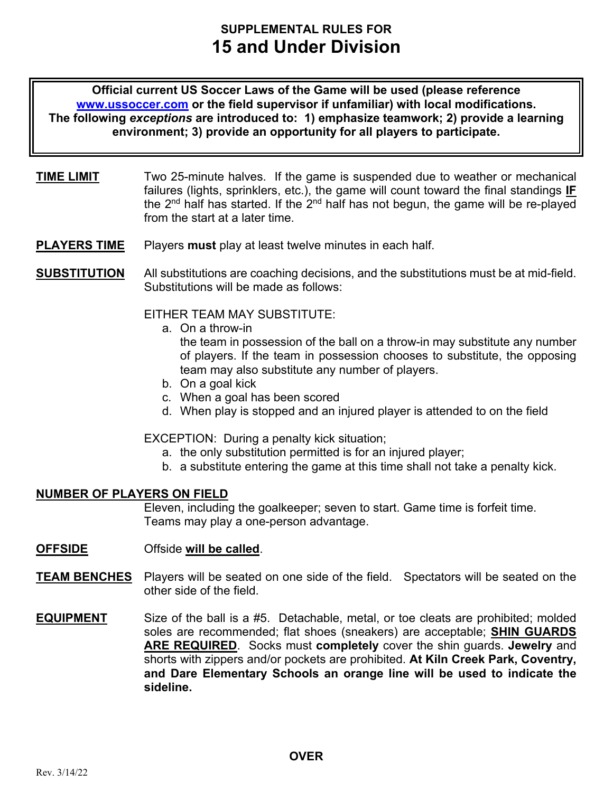# **SUPPLEMENTAL RULES FOR 15 and Under Division**

**Official current US Soccer Laws of the Game will be used (please reference www.ussoccer.com or the field supervisor if unfamiliar) with local modifications. The following** *exceptions* **are introduced to: 1) emphasize teamwork; 2) provide a learning environment; 3) provide an opportunity for all players to participate.** 

- **TIME LIMIT** Two 25-minute halves. If the game is suspended due to weather or mechanical failures (lights, sprinklers, etc.), the game will count toward the final standings **IF** the  $2<sup>nd</sup>$  half has started. If the  $2<sup>nd</sup>$  half has not begun, the game will be re-played from the start at a later time.
- **PLAYERS TIME** Players must play at least twelve minutes in each half.

**SUBSTITUTION** All substitutions are coaching decisions, and the substitutions must be at mid-field. Substitutions will be made as follows:

EITHER TEAM MAY SUBSTITUTE:

a. On a throw-in

the team in possession of the ball on a throw-in may substitute any number of players. If the team in possession chooses to substitute, the opposing team may also substitute any number of players.

- b. On a goal kick
- c. When a goal has been scored
- d. When play is stopped and an injured player is attended to on the field

EXCEPTION: During a penalty kick situation;

- a. the only substitution permitted is for an injured player;
- b. a substitute entering the game at this time shall not take a penalty kick.

# **NUMBER OF PLAYERS ON FIELD**

Eleven, including the goalkeeper; seven to start. Game time is forfeit time. Teams may play a one-person advantage.

- **OFFSIDE** Offside **will be called**.
- **TEAM BENCHES** Players will be seated on one side of the field. Spectators will be seated on the other side of the field.
- **EQUIPMENT** Size of the ball is a #5. Detachable, metal, or toe cleats are prohibited; molded soles are recommended; flat shoes (sneakers) are acceptable; **SHIN GUARDS ARE REQUIRED**. Socks must **completely** cover the shin guards. **Jewelry** and shorts with zippers and/or pockets are prohibited. **At Kiln Creek Park, Coventry, and Dare Elementary Schools an orange line will be used to indicate the sideline.**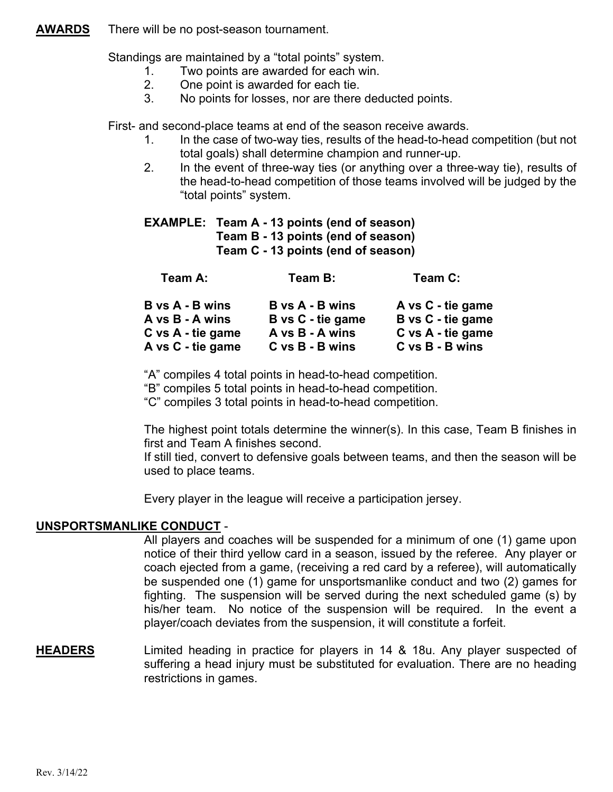## **AWARDS** There will be no post-season tournament.

Standings are maintained by a "total points" system.

- 1. Two points are awarded for each win.
- 2. One point is awarded for each tie.
- 3. No points for losses, nor are there deducted points.

First- and second-place teams at end of the season receive awards.

- 1. In the case of two-way ties, results of the head-to-head competition (but not total goals) shall determine champion and runner-up.
- 2. In the event of three-way ties (or anything over a three-way tie), results of the head-to-head competition of those teams involved will be judged by the "total points" system.

**EXAMPLE: Team A - 13 points (end of season) Team B - 13 points (end of season) Team C - 13 points (end of season)** 

| Team A:                | Team B:                              | Team C:           |
|------------------------|--------------------------------------|-------------------|
| <b>B</b> vs A - B wins | <b>B</b> vs A - B wins               | A vs C - tie game |
| A vs B - A wins        | B vs C - tie game                    | B vs C - tie game |
|                        | A vs B - A wins<br>C vs A - tie game | C vs A - tie game |
|                        | A vs C - tie game<br>C vs B - B wins | C vs B - B wins   |

"A" compiles 4 total points in head-to-head competition.

"B" compiles 5 total points in head-to-head competition.

"C" compiles 3 total points in head-to-head competition.

The highest point totals determine the winner(s). In this case, Team B finishes in first and Team A finishes second.

If still tied, convert to defensive goals between teams, and then the season will be used to place teams.

Every player in the league will receive a participation jersey.

# **UNSPORTSMANLIKE CONDUCT** -

All players and coaches will be suspended for a minimum of one (1) game upon notice of their third yellow card in a season, issued by the referee. Any player or coach ejected from a game, (receiving a red card by a referee), will automatically be suspended one (1) game for unsportsmanlike conduct and two (2) games for fighting. The suspension will be served during the next scheduled game (s) by his/her team. No notice of the suspension will be required. In the event a player/coach deviates from the suspension, it will constitute a forfeit.

**HEADERS** Limited heading in practice for players in 14 & 18u. Any player suspected of suffering a head injury must be substituted for evaluation. There are no heading restrictions in games.